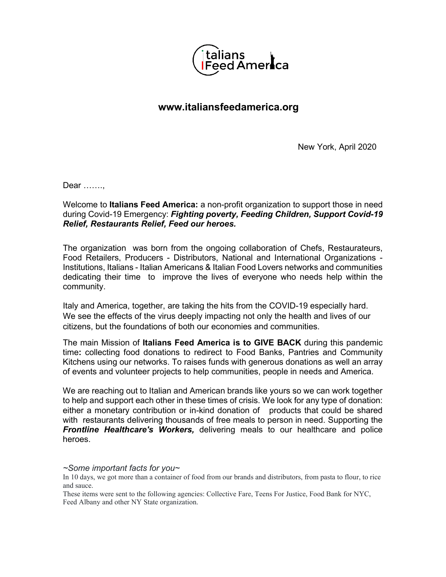

## **www.italiansfeedamerica.org**

New York, April 2020

Dear …….,

Welcome to **Italians Feed America:** a non-profit organization to support those in need during Covid-19 Emergency: *Fighting poverty, Feeding Children, Support Covid-19 Relief, Restaurants Relief, Feed our heroes.*

The organization was born from the ongoing collaboration of Chefs, Restaurateurs, Food Retailers, Producers - Distributors, National and International Organizations - Institutions, Italians - Italian Americans & Italian Food Lovers networks and communities dedicating their time to improve the lives of everyone who needs help within the community.

Italy and America, together, are taking the hits from the COVID-19 especially hard. We see the effects of the virus deeply impacting not only the health and lives of our citizens, but the foundations of both our economies and communities.

The main Mission of **Italians Feed America is to GIVE BACK** during this pandemic time**:** collecting food donations to redirect to Food Banks, Pantries and Community Kitchens using our networks. To raises funds with generous donations as well an array of events and volunteer projects to help communities, people in needs and America.

We are reaching out to Italian and American brands like yours so we can work together to help and support each other in these times of crisis. We look for any type of donation: either a monetary contribution or in-kind donation of products that could be shared with restaurants delivering thousands of free meals to person in need. Supporting the *Frontline Healthcare's Workers,* delivering meals to our healthcare and police heroes.

## *~Some important facts for you~*

In 10 days, we got more than a container of food from our brands and distributors, from pasta to flour, to rice and sauce.

These items were sent to the following agencies: Collective Fare, Teens For Justice, Food Bank for NYC, Feed Albany and other NY State organization.